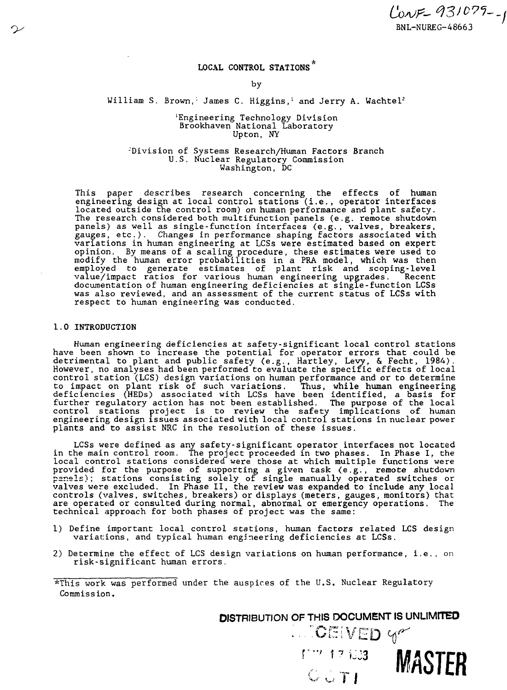$LovF - 931079 - 1$ BNL-NUREG-48663

## LOCAL CONTROL STATIONS<sup>\*</sup>

## by

## William S. Brown, James C. Higgins,<sup>1</sup> and Jerry A. Wachtel<sup>2</sup>

# 'Engineering Technology Division Brookhaven National Laboratory Upton, NY

# -Division of Systems Research/Human Factors Branch U.S. Nuclear Regulatory Commission Washington, DC

This paper describes research concerning the effects of human engineering design at local control stations (i.e., operator interfaces located outside the control room) on human performance and plant safety. The research considered both multifunction panels (e.g. remote shutdown panels) as well as single-function interfaces (e.g., valves, breakers, gauges, etc.). Changes in performance shaping factors associated with variations in human engineering at LCSs were estimated based on expert opinion. By means of a scaling procedure, these estimates were used to modify the human error probabilities in a PRA model, which was then employed to generate estimates of plant risk and scoping-level value/impact ratios for various human engineering upgrades. Recent documentation of human engineering deficiencies at single-function LCSs was also reviewed, and an assessment of the current status of LCSs with respect to human engineering was conducted.

#### 1.0 INTRODUCTION

Human engineering deficiencies at safety-significant local control stations have been shown to increase the potential for operator errors that could be detrimental to plant and public safety (e.g., Hartley, Levy, & Fecht, 1984). However, no analyses had been performed to evaluate the specific effects of local control station (LCS) design variations on human performance and or to determine to impact on plant risk of such variations. Thus, while human engineering deficiencies (HEDs) associated with LCSs have been identified, a basis for further regulatory action has not been established. The purpose of the local control stations project is to review the safety implications of human engineering design issues associated with local control stations in nuclear power plants and to assist NRC in the resolution of these issues.

LCSs were defined as any safety-significant operator interfaces not located in the main control room. The project proceeded in two phases. In Phase I, the local control stations considered were those at which multiple functions were provided for the purpose of supporting a given task (e.g., remote shutdown panels); stations consisting solely of single manually operated switches or valves were excluded. In Phase II, the review was expanded to include any local controls (valves, switches, breakers) or displays (meters, gauges, monitors) that are operated or consulted during normal, abnormal or emergency operations. The technical approach for both phases of project was the same:

- 1) Define important local control stations, human factors related LCS design variations, and typical human engineering deficiencies at LCSs.
- 2) Determine the effect of LCS design variations on human performance, i.e., on risk-significant human errors.

DISTRIBUTION OF THIS DOCUMENT IS UNLIMITED

**CONTING MASTER** 

<sup>\*</sup>This work was performed under the auspices of the U.S. Nuclear Regulatory Commission.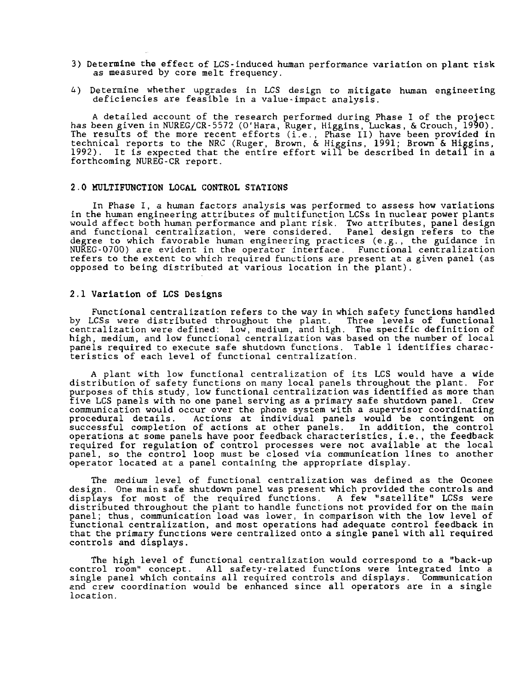- 3) Determine the effect of LCS-induced human performance variation **on plant** risk as measured by core melt frequency.
- 4) Determine whether upgrades in LCS design to mitigate human engineering deficiencies are feasible in a value-impact analysis.

A detailed account of the research performed during Phase I of the project has been given in NUREG/CR-5572 (O'Hara, Ruger, Higgins, Luckas, & Crouch, 1990). The results of the more recent efforts (i.e., Phase II) have been provided in technical reports to the NRC (Ruger, Brown, & Higgins, 1991; Brown"& Higgins, 1992). It is expected that the entire effort will be described in detail in a forthcoming NUREG-CR report.

#### **2.0 MULTIFUNCTION LOCAL CONTROL STATIONS**

In Phase I, a human factors analysis was performed to assess how variations in the human engineering attributes of multifunction LCSs in nuclear power plants would affect both human performance and plant risk. Two attributes, panel design<br>and functional centralization, were considered. Panel design refers to the and functional centralization, were considered. degree to which favorable human engineering practices (e.g., the guidance in NUREG-0700) are evident in the operator interface. Functional centralization refers to the extent to which required functions are present at a given panel (as opposed to being distributed at various location in the plant).

## 2.1 **Variation of LCS Designs**

Functional centralization refers to the way in which safety functions handled by LCSs were distributed throughout the plant. Three levels of functional centralization were defined: low, medium, and high. The specific definition of high, medium, and low functional centralization was based on the number of local panels required to execute safe shutdown functions. Table 1 identifies characteristics of each level of functional centralization.

A plant with low functional centralization of its LCS would have a wide distribution of safety functions on many local panels throughout the plant. For purposes of this study, low functional centralization was identified as more than five LCS panels with no one panel serving as a primary safe shutdown panel. Crew communication would occur over the phone system with a supervisor coordinating procedural details. Actions at individual panels would be contingent on successful completion of actions at other panels. In addition, the control operations at some panels have poor feedback characteristics, i.e., the feedback required for regulation of control processes were not available at the local panel, so the control loop must be closed via communication lines to another operator located at a panel containing the appropriate display.

The medium level of functional centralization was defined as the Oconee design. One main safe shutdown panel was present which provided the controls and displays for most of the required functions. A few "satellite" LCSs were distributed throughout the plant to handle functions not provided for on the main panel; thus, communication load was lower, in comparison with the low level of functional centralization, and most operations had adequate control feedback in that the primary functions were centralized onto a single panel with all required controls and displays.

The high level of functional centralization would correspond to a "back-up control room" concept. All safety-related functions were integrated into a single panel which contains all required controls and displays. Communication and crew coordination would be enhanced since all operators are in a single location.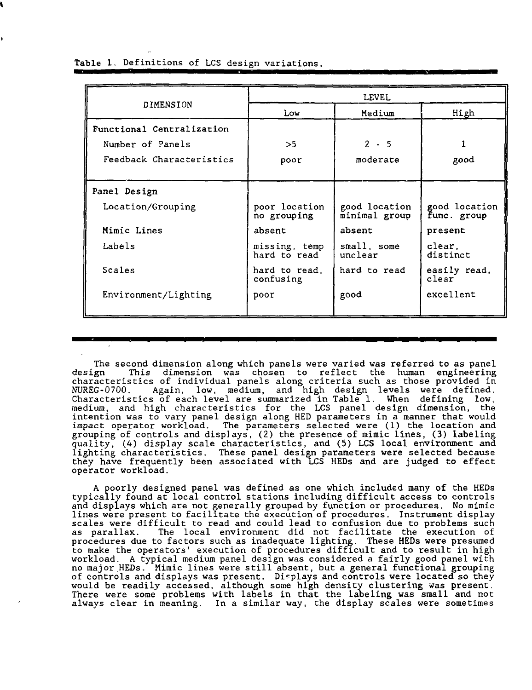Table 1. Definitions of LCS design variations.

|                           | LEVEL                         |                                |                              |  |
|---------------------------|-------------------------------|--------------------------------|------------------------------|--|
| DIMENSION                 | Low                           | Medium                         | High                         |  |
| Functional Centralization |                               |                                |                              |  |
| Number of Panels          | >5                            | $2 - 5$                        |                              |  |
| Feedback Characteristics  | poor                          | moderate                       | good                         |  |
|                           |                               |                                |                              |  |
| Panel Design              |                               |                                |                              |  |
| Location/Grouping         | poor location<br>no grouping  | good location<br>minimal group | good location<br>func. group |  |
| Mimic Lines               | absent                        | absent                         | present                      |  |
| Labels                    | missing, temp<br>hard to read | small, some<br>unclear         | clear.<br>distinct           |  |
| Scales                    | hard to read,<br>confusing    | hard to read                   | easily read,<br>clear        |  |
| Environment/Lighting      | poor                          | good                           | excellent                    |  |

The second dimension along which panels were varied was referred to as panel design This dimension was chosen to reflect the human engineering characteristics of individual panels along criteria such as those provided in NUREG-0700. Again, low, medium, and high design levels were defined. Characteristics of each level are summarized in Table 1. When defining low, medium, and high characteristics for the LCS panel design dimension, the intention was to vary panel design along HED parameters in a manner that would impact operator workload. The parameters selected were (1) the location and grouping of controls and displays, (2) the presence of mimic lines, (3) labeling quality, (A) display scale characteristics, and (5) LCS local environment and lighting characteristics. These panel design parameters were selected because they have frequently been associated with LCS HEDs and are judged to effect operator workload.

A poorly designed panel was defined as one which included many of the HEDs typically found at local control stations including difficult access to controls and displays which are not generally grouped by function or procedures. No mimic lines were present to facilitate the execution of procedures. Instrument display scales were difficult to read and could lead to confusion due to problems such<br>as parallax. The local environment did not facilitate the execution of The local environment did not facilitate the execution of procedures due to factors such as inadequate lighting. These HEDs were presumed to make the operators' execution of procedures difficult and to result in high workload. A typical medium panel design was considered a fairly good panel with no major.HEDs. Mimic lines were still absent, but a general functional grouping of controls and displays was present. Dirplays and controls were located so they would be readily accessed, although some high density clustering was present. There were some problems with labels in that the labeling was small and not always clear in meaning. In a similar way, the display scales were sometimes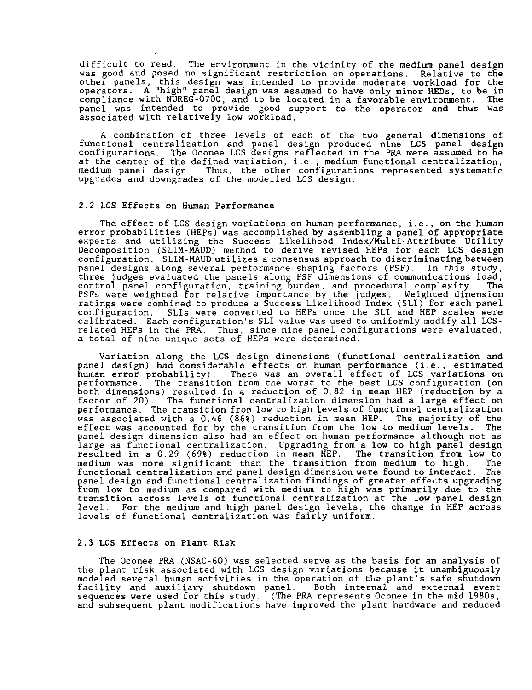difficult to read. The environment in the vicinity of the medium panel design was good and posed no significant restriction on operations. Relative to the other panels, this design was intended to provide moderate workload for the operators. A "high" panel design was assumed to have only minor HEDs, to be in compliance with NUREG-0700, and to be located in a favorable environment. The panel was intended to provide good support to the operator and thus was associated with relatively low workload.

A combination of three levels of each of the two general dimensions of functional centralization and panel design produced nine LCS panel design configurations. The Oconee LCS designs reflected in the PRA were assumed to be at the center of the defined variation, i.e., medium functional centralization, medium panel design. Thus, the other configurations represented systematic upgrades and downgrades of the modelled LCS design.

## 2.2 LCS Effects on Human Performance

The effect of LCS design variations on human performance, i.e., on the human error probabilities (HEPs) was accomplished by assembling a panel of appropriate experts and utilizing the Success Likelihood Index/Multi-Attribute Utility Decomposition (SLIM-MAUD) method to derive revised HEPs for each LCS design configuration. SLIM-MAUD utilizes a consensus approach to discriminating between panel designs along several performance shaping factors (PSF). In this study, three judges evaluated the panels along PSF dimensions of communications load, control panel configuration, training burden, and procedural complexity. The PSFs were weighted for relative importance by the judges. Weighted dimension ratings were combined to produce a Success Likelihood Index (SLI) for each panel configuration. SLIs were converted to HEPs once the SLI and HEP scales were calibrated. Each configuration's SLI value was used to uniformly modify all LCSrelated HEPs in the PRA. Thus, since nine panel configurations were evaluated, a total of nine unique sets of HEPs were determined.

Variation along the LCS design dimensions (functional centralization and panel design) had considerable effects on human performance (i.e., estimated human error probability). There was an overall effect of LCS variations on performance. The transition from the worst to the best LCS configuration (on both dimensions) resulted in a reduction of 0.82 in mean HEP (reduction by a factor of 20). The functional centralization dimension had a large effect on performance. The transition from low to high levels of functional centralization was associated with a 0.46 (86%) reduction in mean HEP. The majority of the effect was accounted for by the transition from the low to medium levels. The panel design dimension also had an effect on human performance although not as large as functional centralization. Upgrading from a low to high panel design resulted in a 0.29 (69%) reduction in mean HEP. The transition from low to medium was more significant than the transition from medium to high. The functional centralization and panel design dimension were found to interact. The panel design and functional centralization findings of greater effects upgrading from low to medium as compared with medium to high was primarily due to the transition across levels of functional centralization at the low panel design level. For the medium and high panel design levels, the change in HEP across levels of functional centralization was fairly uniform.

#### 2.3 LCS Effects on Plant Risk

The Oconee PRA (NSAC-60) was selected serve as the basis for an analysis of the plant risk associated with LCS design variations because it unambiguously modeled several human activities in the operation of the plant's safe shutdown facility and auxiliary shutdown panel. Both internal and external event sequences were used for this study. (The PRA represents Oconee in the mid 1980s, and subsequent plant modifications have improved the plant hardware and reduced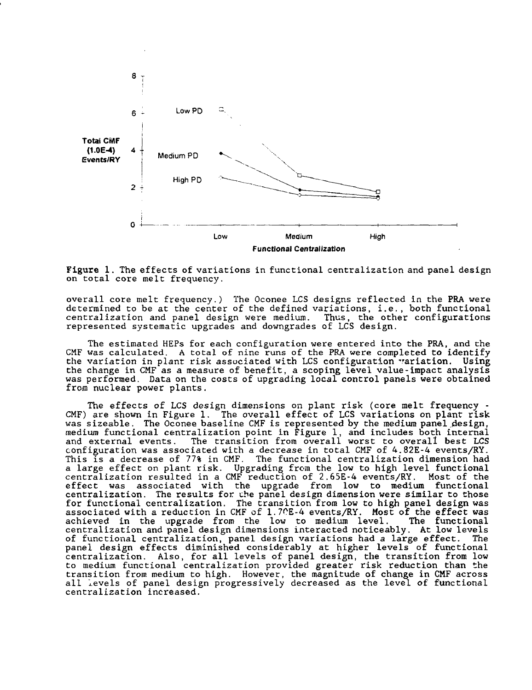

Figure 1. The effects of variations in functional centralization and panel design on total core melt frequency.

overall core melt frequency.) The Oconee LCS designs reflected in the PRA were determined to be at the center of the defined variations, i.e., both functional centralization and panel design were medium. Thus, the other configurations represented systematic upgrades and downgrades of LCS design.

The estimated HEPs for each configuration were entered into the PRA, and the CMF was calculated. A total of nine runs of the PRA were completed to identify the variation in plant risk associated with LCS configuration variation. Using the change in CMF as a measure of benefit, a scoping level value-impact analysis was performed. Data on the costs of upgrading local control panels were obtained from nuclear power plants.

The effects of LCS design dimensions on plant risk (core melt frequency - CMF) are shown in Figure 1. The overall effect of LCS variations on plant risk was sizeable. The Oconee baseline CMF is represented by the medium panel design, medium functional centralization point in Figure 1, and includes both internal and external events. The transition from overall worst to overall best LCS configuration was associated with a decrease in total CMF of 4.82E-4 events/RY. This is a decrease of 77% in CMF. The functional centralization dimension had a large effect on plant risk. Upgrading from the low to high level functional centralization resulted in a CMF reduction of 2.65E-4 events/RY. Most of the effect was associated with the upgrade from low to medium functional centralization. The results for the panel design dimension were similar to those for functional centralization. The transition from low to high panel design was associated with a reduction in CMF of 1.70E-4 events/RY. Most of the effect was achieved in the upgrade from the low to medium level. The functional centralization and panel design dimensions interacted noticeably. At low levels of functional centralization, panel design variations had a large effect. The panel design effects diminished considerably at higher levels of functional centralization. Also, for all levels of panel design, the transition from low to medium functional centralization provided greater risk reduction than the transition from medium to high. However, the magnitude of change in CMF across crease the measurem countries is now we have a sequence of considerations of panel design progressively decreased as the level of functional centralization increased.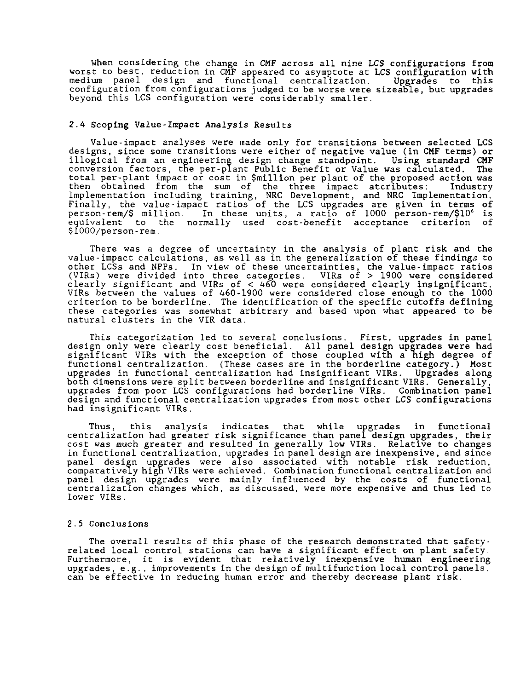When considering the change in CMF across all nine LCS configurations from worst to best, reduction in CMF appeared to asymptote at LCS configuration with medium panel design and functional centralization. Upgrades to this configuration from configurations judged to be worse were sizeable, but upgrades beyond this LCS configuration were considerably smaller.

#### 2.4 Scoping Value-Impact Analysis Results

Value-impact analyses were made only for transitions between selected LCS designs, since some transitions were either of negative value (in CMF terms) or illogical from an engineering design change standpoint. Using standard CMF conversion factors, the per-plant Public Benefit or Value was calculated. The total per-plant impact or cost in \$million per plant of the proposed action was then obtained from the sum of the three impact atcributes: Industry Implementation including training, NRC Development, and NRC Implementation. Finally, the value-impact ratios of the LCS upgrades are given in terms of person-rem/\$ million. In these units, a ratio of 1000 person-rem/\$10<sup>6</sup> is equivalent to the normally used cost-benefit acceptance criterion of \$1000/person-rem.

There was a degree of uncertainty in the analysis of plant risk and the value-impact calculations, as well as in the generalization of these findings to other LCSs and NPPs. In view of these uncertainties, the value-impact ratios (VIRs) were divided into three categories. VIRs of > 1900 were considered clearly significant and VIRs of < 460 were considered clearly insignificant. VIRs between the values of 460-1900 were considered close enough to the 1000 criterion to be borderline. The identification of the specific cutoffs defining these categories was somewhat arbitrary and based upon what appeared to be natural clusters in the VIR data.

This categorization led to several conclusions. First, upgrades in panel design only were clearly cost beneficial. All panel design upgrades were had significant VIRs with the exception of those coupled with a high degree of functional centralization. (These cases are in the borderline category.) Most upgrades in functional centralization had insignificant VIRs. Upgrades along both dimensions were split between borderline and insignificant VIRs. Generally, upgrades from poor LCS configurations had borderline VIRs. Combination panel design and functional centralization upgrades from most other LCS configurations had insignificant VIRs.

Thus, this analysis indicates that while upgrades in functional centralization had greater risk significance than panel design upgrades, their cost was much greater and resulted in generally low VIRs. Relative to changes in functional centralization, upgrades in panel design are inexpensive, and since panel design upgrades were also associated with notable risk reduction, comparatively high VIRs were achieved. Combination functional centralization and panel design upgrades were mainly influenced by the costs of functional centralization changes which, as discussed, were more expensive and thus led to lower VIRs.

## 2.5 Conclusions

The overall results of this phase of the research demonstrated that safetyrelated local control stations can have a significant effect on plant safety. Furthermore, it is evident that relatively inexpensive human engineering upgrades, e.g. , improvements in the design of multifunction local control panels, can be effective in reducing human error and thereby decrease plant risk.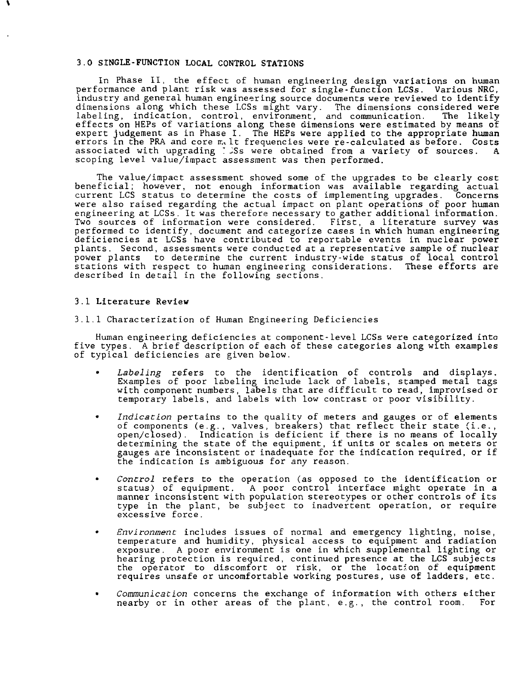## **3.0 SINGLE-FUNCTION LOCAL CONTROL STATIONS**

In Phase II, the effect of human engineering design variations on human performance and plant risk was assessed for single-function LCSs. Various NRC, industry and general human engineering source documents were reviewed to **identify** dimensions along which these LCSs might vary. The dimensions considered **were** labeling, indication, control, environment, and communication. The likely effects on HEPs of variations along these dimensions were estimated by means of expert judgement as in Phase I. The HEPs were applied to the appropriate human errors in the PRA and core m.lt frequencies were re-calculated as before. Costs associated with upgrading 7 JSs were obtained from a variety of sources. A scoping level value/impact assessment was then performed.

The value/impact assessment showed some of the upgrades to be clearly cost beneficial; however, not enough information was available regarding actual current LCS status to determine the costs of implementing upgrades. Concerns were also raised regarding the actual impact on plant operations of poor human engineering at LCSs. It was therefore necessary to gather additional information. Two sources of information were considered. First, a literature survey was performed to identify, document and categorize cases in which human engineering deficiencies at LCSs have contributed to reportable events in nuclear power plants. Second, assessments were conducted at a representative sample of nuclear power plants to determine the current industry-wide status of local control stations with respect to human engineering considerations. These efforts are described in detail in the following sections.

#### **3** .**1 Literature Review**

3.1.1 Characterization of Human Engineering Deficiencies

Human engineering deficiencies at component-level LCSs were categorized into five types. A brief description of each of these categories along with examples of typical deficiencies are given below.

- Labeling refers to the identification of controls and displays. Examples of poor labeling include lack of labels, stamped metal tags with component numbers, labels that are difficult to read, improvised or temporary labels, and labels with low contrast or poor visibility.
- Indication pertains to the quality of meters and gauges or of elements of components (e.g., valves, breakers) that reflect their state (i.e., open/closed). Indication is deficient if there is no means of locally Indication is deficient if there is no means of locally determining the state of the equipment, if units or scales on meters or gauges are inconsistent or inadequate for the indication required, or if the indication is ambiguous for any reason.
- Control refers to the operation (as opposed to the identification or status) of equipment. A poor control interface might operate in a manner inconsistent with population, stereotypes or other controls of its type in the plant, be subject to inadvertent operation, or require excessive force.
- Environment includes issues of normal and emergency lighting, noise, temperature and humidity, physical access to equipment and radiation exposure. A poor environment is one in which supplemental lighting or hearing protection is required, continued presence at the LCS subjects the operator to discomfort or risk, or the location of equipment requires unsafe or uncomfortable working postures, use of ladders, etc.
- Communication concerns the exchange of information with others either nearby or in other areas of the plant, e.g., the control room. For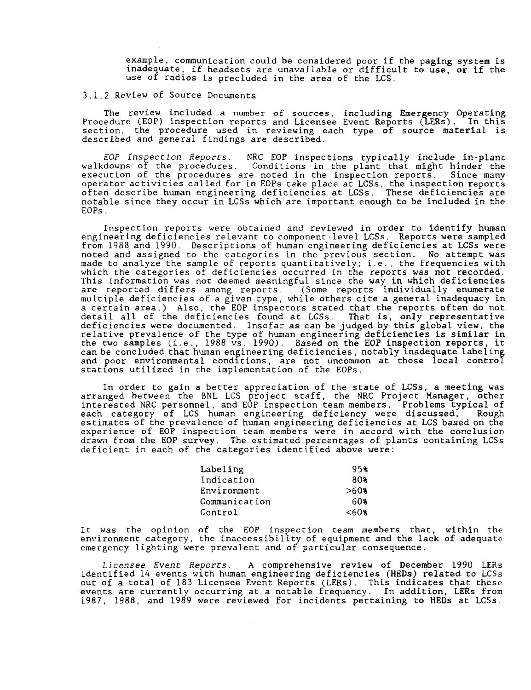example, communication could be considered poor if the paging system is inadequate, if headsets are unavailable or difficult to use, or if the use of radios is precluded in the area of the LCS.

## 3.1.2 Review of Source Documents

The review included a number of sources, including Emergency Operating Procedure (EOP) inspection reports and Licensee Event Reports (LERs). In this section, the procedure used in reviewing each type of source material is described and general findings are described.

EOP Inspeccion Reports. NRC EOP inspections typically include in-plane walkdowns of the procedures. Conditions in the plant that might hinder the execution of the procedures are noted in the inspection reports. Since many operator activities called for in EOPs take place at LCSs, the inspection reports often describe human engineering deficiencies at LCSs. These deficiencies are notable since they occur in LCSs which are important enough to be included in the EOPs.

Inspection reports were obtained and reviewed in order to identify human engineering deficiencies relevant to component level LCSs. Reports were sampled from 1988 and 1990. Descriptions of human engineering deficiencies at LCSs were noted and assigned to the categories in the previous section. No attempt was made to analyze the sample of reports quantitatively; i.e., the frequencies with which the categories of deficiencies occurred in the reports was not recorded. This information was not deemed meaningful since the way in which deficiencies are reported differs among reports. (Some reports individually enumerate multiple deficiencies of a given type, while others cite a general inadequacy in a certain area.) Also, the EOP inspectors stated that the reports often do not detail all of the deficiencies found at LCSs. That is, only representative deficiencies were documented. Insofar as can be judged by this global view, the relative prevalence of the type of human engineering deficiencies is similar in the two samples (i.e., 1988 vs. 1990). Based on the EOP inspection reports, it can be concluded that human engineering deficiencies, notably inadequate labeling and poor environmental conditions, are not uncommon at those local control stations utilized in the implementation of the EOPs.

In order to gain a better appreciation of the state of LCSs, a meeting was arranged between the BNL LCS project staff, the NRC Project Manager, other interested NRC personnel, and EOP inspection team members. Problems typical of each category of LCS human engineering deficiency were discussed. Rough estimates of the prevalence of human engineering deficiencies at LCS based on the experience of EOP inspection team members were in accord with the conclusion drawn from the EOP survey. The estimated percentages of plants containing LCSs deficient in each of the categories identified above were:

| Labeling      | 95%      |
|---------------|----------|
| Indication    | 80%      |
| Environment   | >60%     |
| Communication | 609      |
| Control       | $< 60$ 8 |

It was the opinion of the EOP inspection team members that, within the environment category, the inaccessibility of equipment and the lack of adequate emergency lighting were prevalent and of particular consequence.

Licensee Event Reports. A comprehensive review of December 1990 LERs identified 14 events with human engineering deficiencies (HEDs) related to LCSs out of a total of 183 Licensee Event Reports (LERs). This indicates that these events are currently occurring at a notable frequency. In addition, LERs from 1987, 1988, and 1989 were reviewed for incidents pertaining to HEDs at LCSs.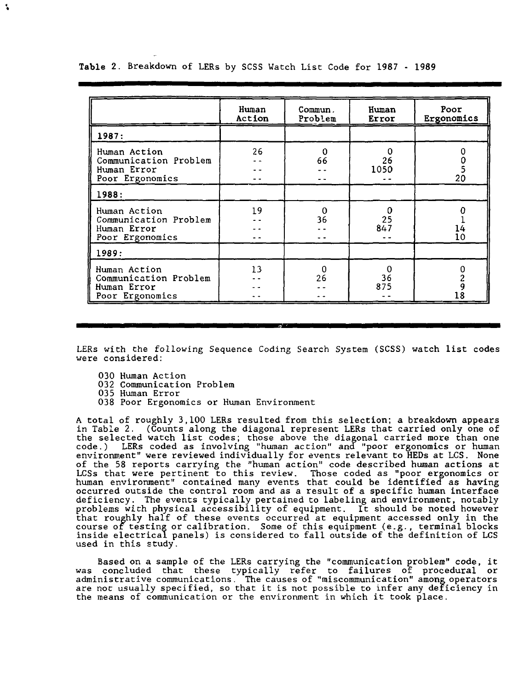|                                                                         | Human<br>Action | Commun.<br>Problem | Human<br>Error | Poor<br>Ergonomics |
|-------------------------------------------------------------------------|-----------------|--------------------|----------------|--------------------|
| 1987:                                                                   |                 |                    |                |                    |
| Human Action<br>Communication Problem<br>Human Error<br>Poor Ergonomics | 26              | 0<br>66            | 26<br>1050     | 20                 |
| 1988:                                                                   |                 |                    |                |                    |
| Human Action<br>Communication Problem<br>Human Error<br>Poor Ergonomics | 19              | 0<br>36            | 25<br>847      | 14<br>10           |
| 1989:                                                                   |                 |                    |                |                    |
| Human Action<br>Communication Problem<br>Human Error<br>Poor Ergonomics | 13              | 0<br>26            | 36<br>875      | .8                 |

**Table** 2. Breakdown of LERs by SCSS Watch List Code for 1987 - 1989

LERs with the following Sequence Coding Search System (SCSS) watch list codes were considered:

- 030 Human Action
- 032 Communication Problem
- 035 Human Error
- 038 Poor Ergonomics or Human Environment

A total of roughly 3,100 LERs resulted from this selection; a breakdown appears in Table 2. (Counts along the diagonal represent LERs that carried only one of the selected watch list codes; those above the diagonal carried more than one code.) LERs coded as involving "human action" and "poor ergonomics or human environment" were reviewed individually for events relevant to HEDs at LCS. None of the 58 reports carrying the "human action" code described human actions at LCSs that were pertinent to this review. Those coded as "poor ergonomics or human environment" contained many events that could be identified as having occurred outside the control room and as a result of a specific human interface deficiency. The events typically pertained to labeling and environment, notably problems with physical accessibility of equipment. It should be noted however that roughly half of these events occurred at equipment accessed only in the course of testing or calibration. Some of this equipment (e.g., terminal blocks inside electrical panels) is considered to fall outside of the definition of LCS used in this study.

Based on a sample of the LERs carrying the "communication problem" code, it was concluded that these typically refer to failures of procedural or administrative communications. The causes of "miscommunication" among operators are not usually specified, so that it is not possible to infer any deficiency in the means of communication or the environment in which it took place.

t.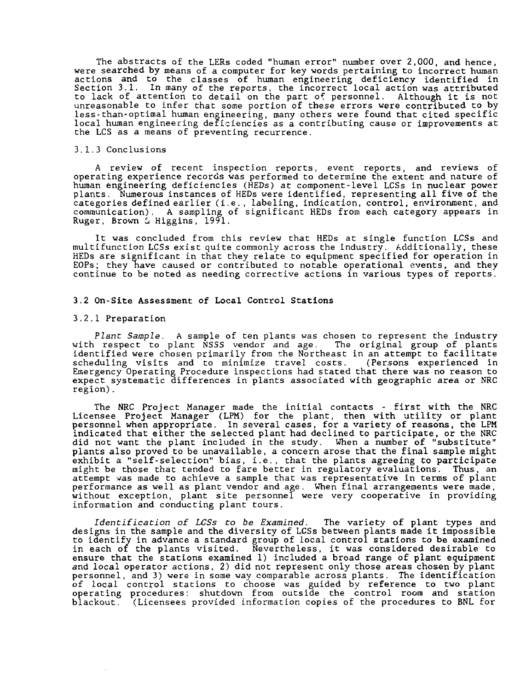The abstracts of the LERs coded "human error" number over 2,000, and hence, were searched by means of a computer for key words pertaining to incorrect human actions and to the classes of human engineering deficiency identified in Section 3.1. In many of the reports, the incorrect local action was attributed to lack of attention to detail on the part of personnel. Although it is not unreasonable to infer that some portion of these errors were contributed to by less-than-optimal human engineering, many others were found that cited specific local human engineering deficiencies as a contributing cause or improvements at the LCS as a means of preventing recurrence.

## 3.1.3 Conclusions

A review of recent inspection reports, event reports, and reviews of operating experience records was performed to determine the extent and nature of human engineering deficiencies (HEDs) at component-level LCSs in nuclear power plants. Numerous instances of HEDs were identified, representing all five of the categories defined earlier (i.e., labeling, indication, control, environment, and communication). A sampling of significant HEDs from each category appears in Ruger, Brown & Higgins, 1991.

It was concluded from this review that HEDs at single function LCSs and multifunction LCSs exist quite commonly across the industry. Additionally, these HEDs are significant in that they relate to equipment specified for operation in EOPs; they have caused or contributed to notable operational events, and they continue to be noted as needing corrective actions in various types of reports.

## 3.2 On-Site Assessment of Local Control Stations

## 3.2.1 Preparation

Plant Sample. A sample of ten plants was chosen to represent the industry with respect to plant NSSS vendor and age. The original group of plants with respect to plant NSSS vendor and age. The original group of plants identified were chosen primarily from the Northeast in an attempt to facilitate scheduling visits and to minimize travel costs. (Persons experienced in Emergency Operating Procedure inspections had stated that there was no reason to expect systematic differences in plants associated with geographic area or NRC region).

The NRC Project Manager made the initial contacts - first with the NRC Licensee Project Manager (LPM) for the plant, then with utility or plant personnel when appropriate. In several cases, for a variety of reasons, the LPM indicated that either the selected plant had declined to participate, or the NRC did not want the plant included in the study. When a number of "substitute" plants also proved to be unavailable, a concern arose that the final sample might exhibit a "self-selection" bias, i.e., that the plants agreeing to participate might be those that tended to fare better in regulatory evaluations. Thus, an attempt was made to achieve a sample that was representative in terms of plant performance as well as plant vendor and age. When final arrangements were made, without exception, plant site personnel were very cooperative in providing information and conducting plant tours.

Identification of LCSs to be Examined. The variety of plant types and designs in the sample and the diversity of LCSs between plants made it impossible to identify in advance a standard group of local control stations to be examined in each of the plants visited. Nevertheless, it was considered desirable to ensure that the stations examined 1) included a broad range of plant equipment and local operator actions, 2) did not represent only those areas chosen by plant personnel, and 3) were in some way comparable across plants. The identification of local control stations to choose was guided by reference to two plant operating procedures: shutdown from outside the control room and station blackout. (Licensees provided information copies of the procedures to BNL for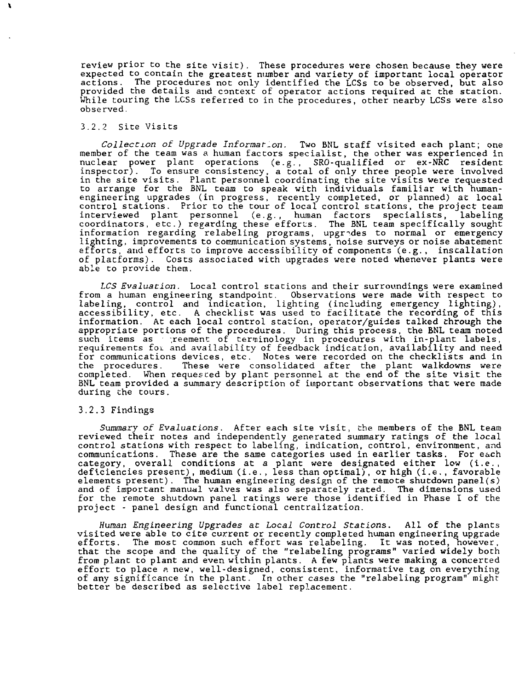review prior to the site visit). These procedures were chosen because they were expected to contain the greatest number and variety of important local operator actions. The procedures not only identified the LCSs to be observed, but also provided the details and context of operator actions required at the station. While touring the LCSs referred to in the procedures, other nearby LCSs were also observed.

## 3.2.2 Site Visits

١

Collection of Upgrade Information. Two BNL staff visited each plant; one member of the team was a human factors specialist, the other was experienced in nuclear power plant operations (e.g., SRO-qualified or ex-NRC resident inspector). To ensure consistency, a total of only three people were involved in the site visits. Plant personnel coordinating the site visits were requested to arrange for the BNL team to speak with individuals familiar with humanengineering upgrades (in progress, recently completed, or planned) at local control stations. Prior to the tour of local control stations, the project team interviewed plant personnel (e.g., human factors specialists, labeling coordinators, etc.) regarding these efforts. The BNL team specifically sought information regarding relabeling programs, upgrades to normal or emergency lighting, improvements to communication systems, noise surveys or noise abatement efforts, and efforts to improve accessibility of components (e.g., installation of platforms). Costs associated with upgrades were noted whenever plants were able to provide them.

LCS Evaluation. Local control stations and their surroundings were examined from a human engineering standpoint. Observations were made with respect to labeling, control and indication, lighting (including emergency lighting), accessibility, etc. A checklist was used to facilitate the recording of this information. At each local control station, operator/guides talked through the appropriate portions of the procedures. During this process, the BNL team noted such items as . reement of terminology in procedures with in-plant labels, requirements for and availability of feedback indication, availability and need for communications devices, etc. Notes were recorded on the checklists and in the procedures. These were consolidated after the plant walkdowns were completed. When requested by plant personnel at the end of the site visit the BNL team provided a summary description of important observations that were made during the tours.

#### 3.2.3 Findings

Summary of Evaluations. After each site visit, the members of the BNL team reviewed their notes and independently generated summary ratings of the local control stations with respect to labeling, indication, control, environment, and communications. These are the same categories used in earlier tasks. For each category, overall conditions at a plant were designated either low (i.e., deficiencies present), medium (i.e., less than optimal), or high (i.e., favorable elements present). The human engineering design of the remote shutdown panel(s) and of important manual valves was also separately rated. The dimensions used for the remote shutdown panel ratings were those identified in Phase I of the project - panel design and functional centralization.

Human Engineering Upgrades at Local Control Stations. All of the plants visited were able to cite current or recently completed human engineering upgrade efforts. The most common such effort was relabeling. It was noted, however, that the scope and the quality of the "relabeling programs" varied widely both from plant to plant and even within plants. A few plants were making a concerted effort to place a new, well-designed, consistent, informative tag on everything of any significance in the plant. In other cases the "relabeling program" might better be described as selective label replacement.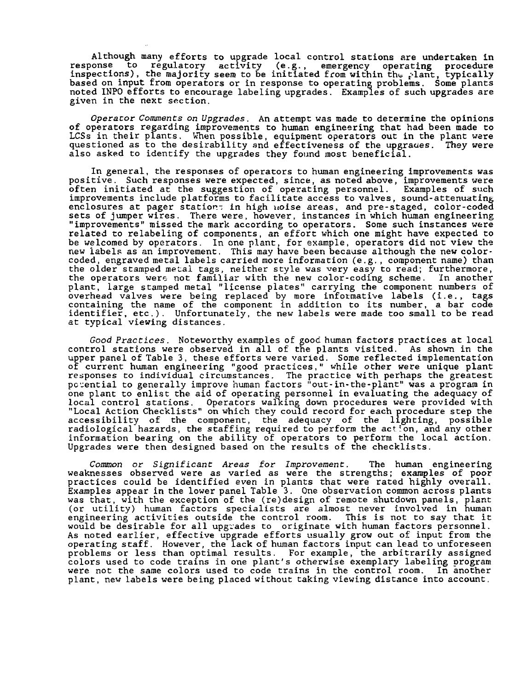Although many efforts to upgrade local control stations are undertaken in response to regulatory activity (e.g., emergency operating procedure inspections), the majority seem to be initiated from within the flant, typically based on input from operators or in response to operating problems. Some plants noted INPO efforts to encourage labeling upgrades. Examples of such upgrades are given in the next section.

Operator Comments on Upgrades. An attempt was made to determine the opinions of operators regarding improvements to human engineering that had been made to LCSs in their plants. When possible, equipment operators out in the plant were questioned as to the desirability and effectiveness of the upgraues. They were also asked to identify the upgrades they found most beneficial.

In general, the responses of operators to human engineering improvements was positive. Such responses were expected, since, as noted above, improvements were often initiated at the suggestion of operating personnel. Examples of such improvements include platforms to facilitate access to valves, sound-attenuating enclosures at pager stations in high noise areas, and pre-staged, color-coded sets of jumper wires. There were, however, instances in which human engineering "improvements" missed the mark according to operators. Some such instances were related to relabeling of components, an effort which one might have expected to be welcomed by operators. In one plant, for example, operators did not view the new labels as an improvement. This may have been because although the new colorcoded, engraved metal labels carried more information (e.g., component name) than the older stamped metal tags, neither style was very easy to read; furthermore, the operators were not familiar with the new color-coding scheme. In another plant, large stamped metal "license plates" carrying the component numbers of overhead valves were being replaced by more informative labels (i.e., tags containing the name of the component in addition to its number, a bar code identifier, etc.). Unfortunately, the new labels were made too small to be read at typical viewing distances.

Good Practices. Noteworthy examples of good human factors practices at local control stations were observed in all of the plants visited. As shown in the upper panel of Table 3, these efforts were varied. Some reflected implementation of current human engineering "good practices," while other were unique plant responses to individual circumstances. The practice with perhaps the greatest potential to generally improve human factors "out-in-the-plant" was a program in one plant to enlist the aid of operating personnel in evaluating the adequacy of local control stations. Operators walking down procedures were provided with "Local Action Checklists" on which they could record for each procedure step the accessibility of the component, the adequacy of the lighting, possible radiological hazards, the staffing required to perform the action, and any other information bearing on the ability of operators to perform the local action. Upgrades were then designed based on the results of the checklists.

Common or Significant Areas for Improvement. The human engineering weaknesses observed were as varied as were the strengths; examples of poor practices could be identified even in plants that were rated highly overall. Examples appear in the lower panel Table 3. One observation common across plants was that, with the exception of the (re)design of remote shutdown panels, plant (or utility) human factors specialists are almost never involved in human engineering activities outside the control room. This is not to say that it would be desirable for all upgrades to originate with human factors personnel. As noted earlier, effective upgrade efforts usually grow out of input from the operating staff. However, the lack of human factors input can lead to unforeseen problems or less than optimal results. For example, the arbitrarily assigned colors used to code trains in one plant's otherwise exemplary labeling program were not the same colors used to code trains in the control room. In another plant, new labels were being placed without taking viewing distance into account.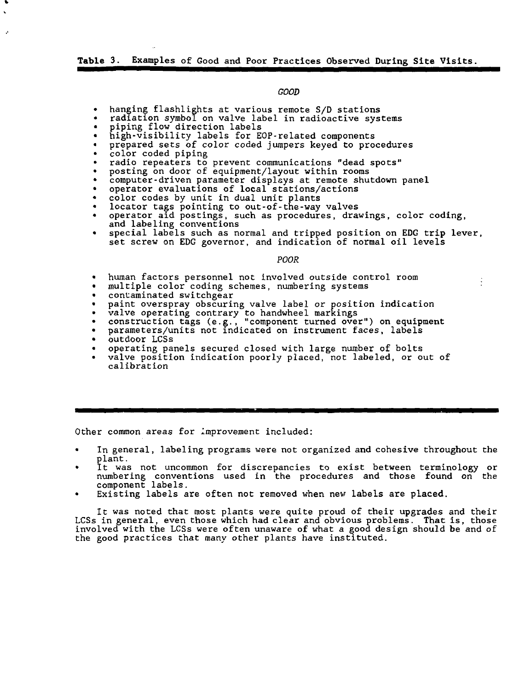#### GOOD

- hanging flashlights at various remote S/D stations
- radiation symbol on valve label in radioactive systems
- piping flow direction labels
- $\bullet$ high-visibility labels for EOP-related components
- prepared sets of color coded jumpers keyed to procedures

color coded piping

- radio repeaters to prevent communications "dead spots"
- posting on door of equipment/layout within rooms
- computer-driven parameter displays at remote shutdown panel
- operator evaluations of local stations/actions
- color codes by unit in dual unit plants
- locator tags pointing to out-of-the-way valves
- operator aid postings, such as procedures, drawings, color **coding,** and labeling conventions
- special labels such as normal and tripped position on EDG trip lever, set screw on EDG governor, and indication of normal oil levels

#### POOR

- human factors personnel not involved outside control room
- multiple color coding schemes, numbering systems
- contaminated switchgear
- paint overspray obscuring valve label or position indication
- valve operating contrary to handwheel markings
- construction tags (e.g., "component turned over") on equipment
- parameters/units not indicated on instrument faces, labels outdoor LCSs
- 
- operating panels secured closed with large number of bolts
- valve position indication poorly placed, not labeled, or out of calibration

Other common areas for improvement included:

- In general, labeling programs were not organized and cohesive throughout the plant.
- It was not uncommon for discrepancies to exist between terminology or numbering conventions used in the procedures and those found on the component labels.
- Existing labels are often not removed when new labels are placed.

It was noted that most plants were quite proud of their upgrades and their LCSs in general, even those which had clear and obvious problems. That is, those involved with the LCSs were often unaware of what a good design should be and of the good practices that many other plants have instituted.